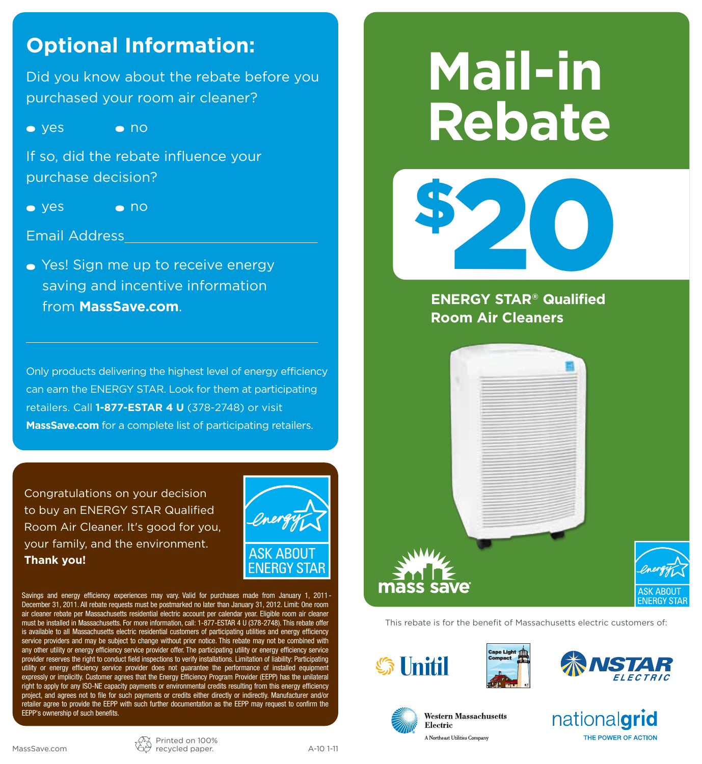### **Optional Information:**

Did you know about the rebate before you purchased your room air cleaner?

 $\bullet$  yes  $\bullet$  no

If so, did the rebate influence your purchase decision?

 $\bullet$  yes  $\bullet$  no

#### Email Address

 $\bullet$  Yes! Sign me up to receive energy saving and incentive information from **MassSave.com**.

Only products delivering the highest level of energy efficiency can earn the ENERGY STAR. Look for them at participating retailers. Call **1-877-ESTAR 4 U** (378-2748) or visit **MassSave.com** for a complete list of participating retailers.

Congratulations on your decision to buy an ENERGY STAR Qualified Room Air Cleaner. It's good for you, your family, and the environment. **Thank you!**



Savings and energy efficiency experiences may vary. Valid for purchases made from January 1, 2011- December 31, 2011. All rebate requests must be postmarked no later than January 31, 2012. Limit: One room air cleaner rebate per Massachusetts residential electric account per calendar year. Eligible room air cleaner must be installed in Massachusetts. For more information, call: 1-877-ESTAR 4 U (378-2748). This rebate offer is available to all Massachusetts electric residential customers of participating utilities and energy efficiency service providers and may be subject to change without prior notice. This rebate may not be combined with any other utility or energy efficiency service provider offer. The participating utility or energy efficiency service provider reserves the right to conduct field inspections to verify installations. Limitation of liability: Participating utility or energy efficiency service provider does not guarantee the performance of installed equipment expressly or implicitly. Customer agrees that the Energy Efficiency Program Provider (EEPP) has the unilateral right to apply for any ISO-NE capacity payments or environmental credits resulting from this energy efficiency project, and agrees not to file for such payments or credits either directly or indirectly. Manufacturer and/or retailer agree to provide the EEPP with such further documentation as the EEPP may request to confirm the EEPP's ownership of such benefits.

# **Mail-in Rebate**



**ENERGY STAR® Qualified Room Air Cleaners**



This rebate is for the benefit of Massachusetts electric customers of:





**Western Massachusetts** 

Electric

A North aar Thilini